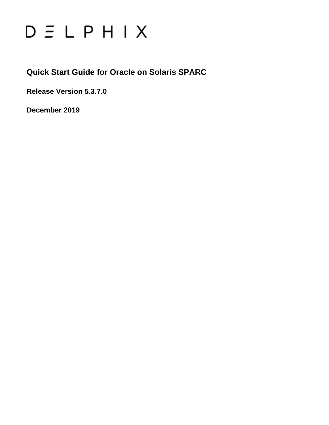# $D \equiv L$   $P$   $H$   $I$   $X$

**Quick Start Guide for Oracle on Solaris SPARC**

**Release Version 5.3.7.0**

**December 2019**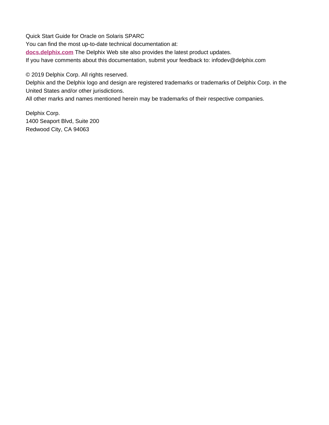Quick Start Guide for Oracle on Solaris SPARC You can find the most up-to-date technical documentation at: **[docs.delphix.com](http://docs.delphix.com)** The Delphix Web site also provides the latest product updates. If you have comments about this documentation, submit your feedback to: infodev@delphix.com

© 2019 Delphix Corp. All rights reserved.

Delphix and the Delphix logo and design are registered trademarks or trademarks of Delphix Corp. in the United States and/or other jurisdictions.

All other marks and names mentioned herein may be trademarks of their respective companies.

Delphix Corp. 1400 Seaport Blvd, Suite 200 Redwood City, CA 94063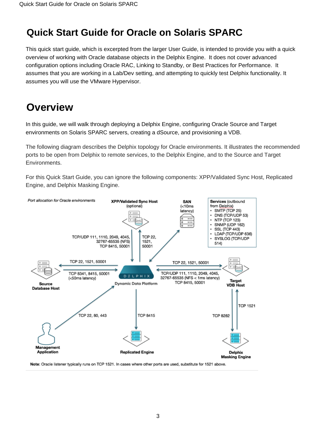# **Quick Start Guide for Oracle on Solaris SPARC**

This quick start guide, which is excerpted from the larger User Guide, is intended to provide you with a quick overview of working with Oracle database objects in the Delphix Engine. It does not cover advanced configuration options including Oracle RAC, Linking to Standby, or Best Practices for Performance. It assumes that you are working in a Lab/Dev setting, and attempting to quickly test Delphix functionality. It assumes you will use the VMware Hypervisor.

# **Overview**

In this guide, we will walk through deploying a Delphix Engine, configuring Oracle Source and Target environments on Solaris SPARC servers, creating a dSource, and provisioning a VDB.

The following diagram describes the Delphix topology for Oracle environments. It illustrates the recommended ports to be open from Delphix to remote services, to the Delphix Engine, and to the Source and Target Environments.

For this Quick Start Guide, you can ignore the following components: XPP/Validated Sync Host, Replicated Engine, and Delphix Masking Engine.



Note: Oracle listener typically runs on TCP 1521. In cases where other ports are used, substitute for 1521 above.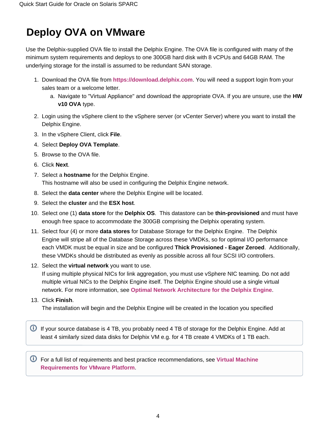# **Deploy OVA on VMware**

Use the Delphix-supplied OVA file to install the Delphix Engine. The OVA file is configured with many of the minimum system requirements and deploys to one 300GB hard disk with 8 vCPUs and 64GB RAM. The underlying storage for the install is assumed to be redundant SAN storage.

- 1. Download the OVA file from **<https://download.delphix.com>**. You will need a support login from your sales team or a welcome letter.
	- a. Navigate to "Virtual Appliance" and download the appropriate OVA. If you are unsure, use the **HW v10 OVA** type.
- 2. Login using the vSphere client to the vSphere server (or vCenter Server) where you want to install the Delphix Engine.
- 3. In the vSphere Client, click **File**.
- 4. Select **Deploy OVA Template**.
- 5. Browse to the OVA file.
- 6. Click **Next**.
- 7. Select a **hostname** for the Delphix Engine. This hostname will also be used in configuring the Delphix Engine network.
- 8. Select the **data center** where the Delphix Engine will be located.
- 9. Select the **cluster** and the **ESX host**.
- 10. Select one (1) **data store** for the **Delphix OS**. This datastore can be **thin-provisioned** and must have enough free space to accommodate the 300GB comprising the Delphix operating system.
- 11. Select four (4) or more **data stores** for Database Storage for the Delphix Engine. The Delphix Engine will stripe all of the Database Storage across these VMDKs, so for optimal I/O performance each VMDK must be equal in size and be configured **Thick Provisioned - Eager Zeroed**. Additionally, these VMDKs should be distributed as evenly as possible across all four SCSI I/O controllers.
- 12. Select the **virtual network** you want to use.

If using multiple physical NICs for link aggregation, you must use vSphere NIC teaming. Do not add multiple virtual NICs to the Delphix Engine itself. The Delphix Engine should use a single virtual network. For more information, see **[Optimal Network Architecture for the Delphix Engine](https://docs.delphix.com/display/DOCS537/Optimal+Network+Architecture+for+the+Delphix+Engine)**.

13. Click **Finish**.

The installation will begin and the Delphix Engine will be created in the location you specified

If your source database is 4 TB, you probably need 4 TB of storage for the Delphix Engine. Add at least 4 similarly sized data disks for Delphix VM e.g. for 4 TB create 4 VMDKs of 1 TB each.

For a full list of requirements and best practice recommendations, see **[Virtual Machine](https://docs.delphix.com/display/DOCS537/Virtual+Machine+Requirements+for+VMware+Platform+with+Delphix+Express)  [Requirements for VMware Platform](https://docs.delphix.com/display/DOCS537/Virtual+Machine+Requirements+for+VMware+Platform+with+Delphix+Express)**.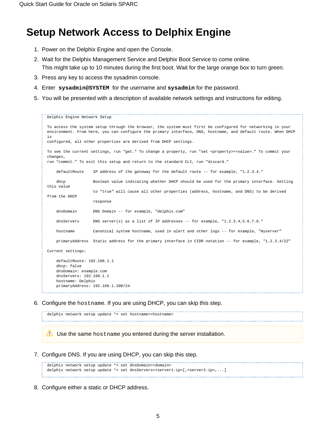## **Setup Network Access to Delphix Engine**

- 1. Power on the Delphix Engine and open the Console.
- 2. Wait for the Delphix Management Service and Delphix Boot Service to come online. This might take up to 10 minutes during the first boot. Wait for the large orange box to turn green.
- 3. Press any key to access the sysadmin console.
- 4. Enter **sysadmin@SYSTEM** for the username and **sysadmin** for the password.
- 5. You will be presented with a description of available network settings and instructions for editing.

```
Delphix Engine Network Setup
To access the system setup through the browser, the system must first be configured for networking in your
environment. From here, you can configure the primary interface, DNS, hostname, and default route. When DHCP 
is
configured, all other properties are derived from DHCP settings.
To see the current settings, run "get." To change a property, run "set <property>=<value>." To commit your 
changes,
run "commit." To exit this setup and return to the standard CLI, run "discard."
     defaultRoute IP address of the gateway for the default route -- for example, "1.2.3.4."
     dhcp Boolean value indicating whether DHCP should be used for the primary interface. Setting 
this value
                    to "true" will cause all other properties (address, hostname, and DNS) to be derived 
from the DHCP
                    response
     dnsDomain DNS Domain -- for example, "delphix.com"
    dnsServers DNS server(s) as a list of IP addresses -- for example, "1.2.3.4,5.6.7.8."
     hostname Canonical system hostname, used in alert and other logs -- for example, "myserver"
     primaryAddress Static address for the primary interface in CIDR notation -- for example, "1.2.3.4/22"
Current settings:
     defaultRoute: 192.168.1.1
     dhcp: false
    dnsDomain: example.com
     dnsServers: 192.168.1.1
    hostname: Delphix
     primaryAddress: 192.168.1.100/24
```
6. Configure the hostname. If you are using DHCP, you can skip this step.

```
delphix network setup update *> set hostname=<hostname>
Use the same hostname you entered during the server installation.
```
7. Configure DNS. If you are using DHCP, you can skip this step.

```
delphix network setup update *> set dnsDomain=<domain>
delphix network setup update *> set dnsServers=<server1-ip>[,<server2-ip>,...]
```
8. Configure either a static or DHCP address.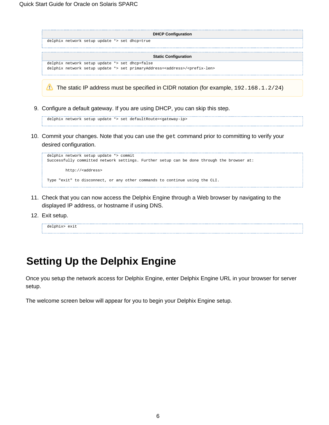| <b>DHCP Configuration</b>                                                                         |
|---------------------------------------------------------------------------------------------------|
| delphix network setup update *> set dhcp=true                                                     |
|                                                                                                   |
| <b>Static Configuration</b>                                                                       |
| delphix network setup update *> set dhcp=false                                                    |
| delphix network setup update *> set primaryAddress= <address>/<prefix-len></prefix-len></address> |
|                                                                                                   |

The static IP address must be specified in CIDR notation (for example,  $192.168.1.2/24$ )

9. Configure a default gateway. If you are using DHCP, you can skip this step.

delphix network setup update \*> set defaultRoute=<gateway-ip>

10. Commit your changes. Note that you can use the get command prior to committing to verify your desired configuration.



- 11. Check that you can now access the Delphix Engine through a Web browser by navigating to the displayed IP address, or hostname if using DNS.
- 12. Exit setup.

| delphix> exit |  |  |  |  |  |  |  |  |
|---------------|--|--|--|--|--|--|--|--|
|               |  |  |  |  |  |  |  |  |
|               |  |  |  |  |  |  |  |  |

# **Setting Up the Delphix Engine**

Once you setup the network access for Delphix Engine, enter Delphix Engine URL in your browser for server setup.

The welcome screen below will appear for you to begin your Delphix Engine setup.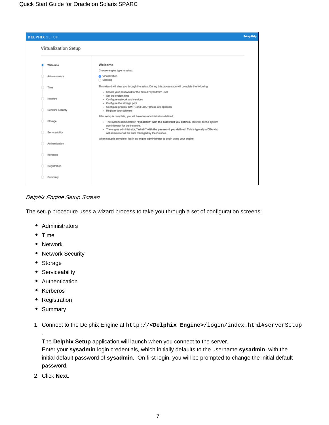| <b>DELPHIX SETUP</b>        |                                                                                                                                                                                                                                                                                                          | <b>Setup Help</b> |
|-----------------------------|----------------------------------------------------------------------------------------------------------------------------------------------------------------------------------------------------------------------------------------------------------------------------------------------------------|-------------------|
| Virtualization Setup        |                                                                                                                                                                                                                                                                                                          |                   |
| Welcome                     | Welcome                                                                                                                                                                                                                                                                                                  |                   |
|                             | Choose engine type to setup:                                                                                                                                                                                                                                                                             |                   |
| Administrators              | <b>O</b> Virtualization<br>◯ Masking                                                                                                                                                                                                                                                                     |                   |
| Time                        | This wizard will step you through the setup. During this process you will complete the following:                                                                                                                                                                                                        |                   |
| Network<br>Network Security | - Create your password for the default "sysadmin" user<br>· Set the system time<br>- Configure network and services<br>- Configure the storage pool<br>- Configure proxies, SMTP, and LDAP (these are optional)                                                                                          |                   |
|                             | - Register your software                                                                                                                                                                                                                                                                                 |                   |
| Storage                     | After setup is complete, you will have two administrators defined:<br>. The system administrator, "sysadmin" with the password you defined. This will be the system<br>administrator for the instance.<br>- The engine administrator, "admin" with the password you defined. This is typically a DBA who |                   |
| Serviceability              | will administer all the data managed by the instance.                                                                                                                                                                                                                                                    |                   |
| Authentication              | When setup is complete, log in as engine administrator to begin using your engine.                                                                                                                                                                                                                       |                   |
| Kerberos                    |                                                                                                                                                                                                                                                                                                          |                   |
| Registration                |                                                                                                                                                                                                                                                                                                          |                   |
| Summary                     |                                                                                                                                                                                                                                                                                                          |                   |

Delphix Engine Setup Screen

The setup procedure uses a wizard process to take you through a set of configuration screens:

- Administrators
- $•$  Time
- Network
- Network Security
- Storage
- Serviceability
- Authentication
- Kerberos
- Registration
- Summary

.

1. Connect to the Delphix Engine at http://**<Delphix Engine>**/login/index.html#serverSetup

The **Delphix Setup** application will launch when you connect to the server.

Enter your **sysadmin** login credentials, which initially defaults to the username **sysadmin**, with the initial default password of **sysadmin**. On first login, you will be prompted to change the initial default password.

2. Click **Next**.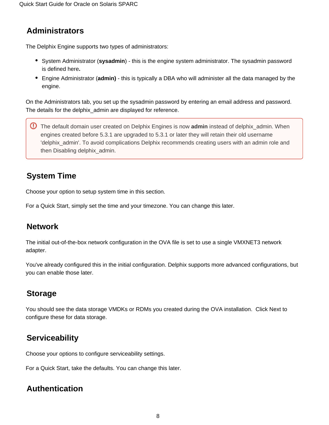### **Administrators**

The Delphix Engine supports two types of administrators:

- **System Administrator (sysadmin)** this is the engine system administrator. The sysadmin password is defined here**.**
- Engine Administrator (**admin)**  this is typically a DBA who will administer all the data managed by the engine.

On the Administrators tab, you set up the sysadmin password by entering an email address and password. The details for the delphix admin are displayed for reference.

The default domain user created on Delphix Engines is now **admin** instead of delphix\_admin. When engines created before 5.3.1 are upgraded to 5.3.1 or later they will retain their old username 'delphix admin'. To avoid complications Delphix recommends creating users with an admin role and then Disabling delphix\_admin.

### **System Time**

Choose your option to setup system time in this section.

For a Quick Start, simply set the time and your timezone. You can change this later.

### **Network**

The initial out-of-the-box network configuration in the OVA file is set to use a single VMXNET3 network adapter.

You've already configured this in the initial configuration. Delphix supports more advanced configurations, but you can enable those later.

### **Storage**

You should see the data storage VMDKs or RDMs you created during the OVA installation. Click Next to configure these for data storage.

### **Serviceability**

Choose your options to configure serviceability settings.

For a Quick Start, take the defaults. You can change this later.

### **Authentication**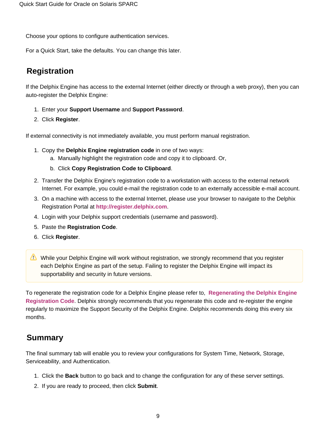Choose your options to configure authentication services.

For a Quick Start, take the defaults. You can change this later.

### **Registration**

If the Delphix Engine has access to the external Internet (either directly or through a web proxy), then you can auto-register the Delphix Engine:

- 1. Enter your **Support Username** and **Support Password**.
- 2. Click **Register**.

If external connectivity is not immediately available, you must perform manual registration.

- 1. Copy the **Delphix Engine registration code** in one of two ways:
	- a. Manually highlight the registration code and copy it to clipboard. Or,
	- b. Click **Copy Registration Code to Clipboard**.
- 2. Transfer the Delphix Engine's registration code to a workstation with access to the external network Internet. For example, you could e-mail the registration code to an externally accessible e-mail account.
- 3. On a machine with access to the external Internet, please use your browser to navigate to the Delphix Registration Portal at **[http://register.delphix.com](http://register.delphix.com/)**.
- 4. Login with your Delphix support credentials (username and password).
- 5. Paste the **Registration Code**.
- 6. Click **Register**.
- While your Delphix Engine will work without registration, we strongly recommend that you register each Delphix Engine as part of the setup. Failing to register the Delphix Engine will impact its supportability and security in future versions.

To regenerate the registration code for a Delphix Engine please refer to, **[Regenerating the Delphix Engine](https://docs.delphix.com/display/DOCS537/Regenerating+the+Delphix+Engine+Registration+Code)  [Registration Code](https://docs.delphix.com/display/DOCS537/Regenerating+the+Delphix+Engine+Registration+Code)**. Delphix strongly recommends that you regenerate this code and re-register the engine regularly to maximize the Support Security of the Delphix Engine. Delphix recommends doing this every six months.

### **Summary**

The final summary tab will enable you to review your configurations for System Time, Network, Storage, Serviceability, and Authentication.

- 1. Click the **Back** button to go back and to change the configuration for any of these server settings.
- 2. If you are ready to proceed, then click **Submit**.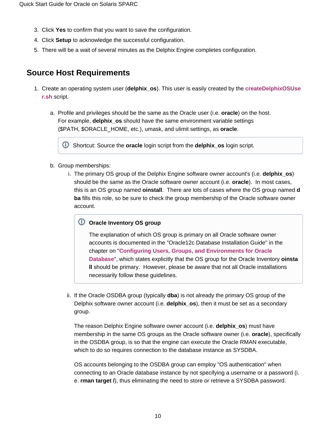- 3. Click **Yes** to confirm that you want to save the configuration.
- 4. Click **Setup** to acknowledge the successful configuration.
- 5. There will be a wait of several minutes as the Delphix Engine completes configuration.

### **Source Host Requirements**

- 1. Create an operating system user (**delphix\_os**). This user is easily created by the **[createDelphixOSUse](https://docs.delphix.com/download/attachments/120930377/createDelphixOSUser.sh?version=1&modificationDate=1548354966461&api=v2) [r.sh](https://docs.delphix.com/download/attachments/120930377/createDelphixOSUser.sh?version=1&modificationDate=1548354966461&api=v2)** script.
	- a. Profile and privileges should be the same as the Oracle user (i.e. **oracle**) on the host. For example, **delphix\_os** should have the same environment variable settings (\$PATH, \$ORACLE\_HOME, etc.), umask, and ulimit settings, as **oracle**.

Shortcut: Source the **oracle** login script from the **delphix\_os** login script.

- b. Group memberships:
	- i. The primary OS group of the Delphix Engine software owner account's (i.e. **delphix\_os**) should be the same as the Oracle software owner account (i.e. **oracle**). In most cases, this is an OS group named **oinstall**. There are lots of cases where the OS group named **d ba** fills this role, so be sure to check the group membership of the Oracle software owner account.

#### **Oracle Inventory OS group**

The explanation of which OS group is primary on all Oracle software owner accounts is documented in the "Oracle12c Database Installation Guide" in the chapter on "**[Configuring Users, Groups, and Environments for Oracle](http://docs.oracle.com/database/121/LADBI/usr_grps.htm#LADBI7652)  [Database](http://docs.oracle.com/database/121/LADBI/usr_grps.htm#LADBI7652)**", which states explicitly that the OS group for the Oracle Inventory **oinsta ll** should be primary. However, please be aware that not all Oracle installations necessarily follow these guidelines.

ii. If the Oracle OSDBA group (typically **dba**) is not already the primary OS group of the Delphix software owner account (i.e. **delphix\_os**), then it must be set as a secondary group.

The reason Delphix Engine software owner account (i.e. **delphix\_os**) must have membership in the same OS groups as the Oracle software owner (i.e. **oracle**), specifically in the OSDBA group, is so that the engine can execute the Oracle RMAN executable, which to do so requires connection to the database instance as SYSDBA.

OS accounts belonging to the OSDBA group can employ "OS authentication" when connecting to an Oracle database instance by not specifying a username or a password (i. e. **rman target /**), thus eliminating the need to store or retrieve a SYSDBA password.

#### ത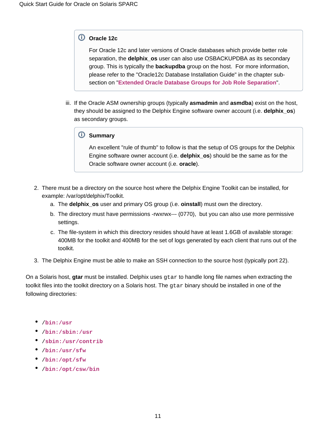#### **Oracle 12c**

For Oracle 12c and later versions of Oracle databases which provide better role separation, the **delphix\_os** user can also use OSBACKUPDBA as its secondary group. This is typically the **backupdba** group on the host. For more information, please refer to the "Oracle12c Database Installation Guide" in the chapter subsection on "**[Extended Oracle Database Groups for Job Role Separation](http://docs.oracle.com/database/121/LADBI/usr_grps.htm#BABHDBFJ)**".

iii. If the Oracle ASM ownership groups (typically **asmadmin** and **asmdba**) exist on the host, they should be assigned to the Delphix Engine software owner account (i.e. **delphix\_os**) as secondary groups.

#### **Summary**

An excellent "rule of thumb" to follow is that the setup of OS groups for the Delphix Engine software owner account (i.e. **delphix\_os**) should be the same as for the Oracle software owner account (i.e. **oracle**).

- 2. There must be a directory on the source host where the Delphix Engine Toolkit can be installed, for example: /var/opt/delphix/Toolkit.
	- a. The **delphix\_os** user and primary OS group (i.e. **oinstall**) must own the directory.
	- b. The directory must have permissions -rwxrwx--- (0770), but you can also use more permissive settings.
	- c. The file-system in which this directory resides should have at least 1.6GB of available storage: 400MB for the toolkit and 400MB for the set of logs generated by each client that runs out of the toolkit.
- 3. The Delphix Engine must be able to make an SSH connection to the source host (typically port 22).

On a Solaris host, **gtar** must be installed. Delphix uses gtar to handle long file names when extracting the toolkit files into the toolkit directory on a Solaris host. The gtar binary should be installed in one of the following directories:

- /**[bin:/usr](http://bin/usr)**
- /**[bin:/sbin:/usr](http://bin/sbin:/usr)**
- /**[sbin:/usr/contrib](http://sbin/usr/contrib)**
- /**[bin:/usr/sfw](http://bin/usr/sfw)**
- /**[bin:/opt/sfw](http://bin/opt/sfw)**
- /**[bin:/opt/csw/bin](http://bin/opt/csw/bin)**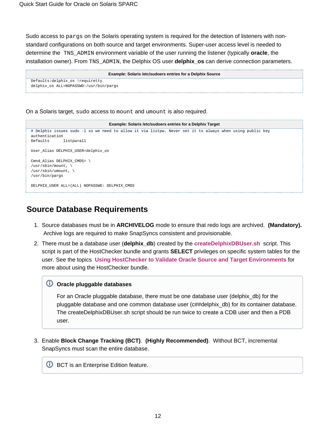Sudo access to pargs on the Solaris operating system is required for the detection of listeners with nonstandard configurations on both source and target environments. Super-user access level is needed to determine the TNS\_ADMIN environment variable of the user running the listener (typically **oracle**, the installation owner). From TNS\_ADMIN, the Delphix OS user **delphix\_os** can derive connection parameters.

| Example: Solaris /etc/sudoers entries for a Delphix Source |
|------------------------------------------------------------|
| Defaults:delphix_os !requiretty                            |
| delphix_os ALL=NOPASSWD:/usr/bin/pargs                     |
|                                                            |

On a Solaris target, sudo access to mount and umount is also required.



### **Source Database Requirements**

- 1. Source databases must be in **ARCHIVELOG** mode to ensure that redo logs are archived. **(Mandatory).**  Archive logs are required to make SnapSyncs consistent and provisionable.
- 2. There must be a database user (**delphix\_db**) created by the **[createDelphixDBUser.sh](https://docs.delphix.com/download/attachments/120930377/createDelphixDBUser.sh?version=1&modificationDate=1548354966484&api=v2)** script. This script is part of the HostChecker bundle and grants **SELECT** privileges on specific system tables for the user. See the topics **[Using HostChecker to Validate Oracle Source and Target Environments](https://docs.delphix.com/display/DOCS537/Using+HostChecker+to+Validate+Oracle+Source+and+Target+Environments)** for more about using the HostChecker bundle.

#### **Oracle pluggable databases**

For an Oracle pluggable database, there must be one database user (delphix\_db) for the pluggable database and one common database user (c##delphix\_db) for its container database. The createDelphixDBUser.sh script should be run twice to create a CDB user and then a PDB user.

3. Enable **Block Change Tracking (BCT)**. **(Highly Recommended)**. Without BCT, incremental SnapSyncs must scan the entire database.

**U** BCT is an Enterprise Edition feature.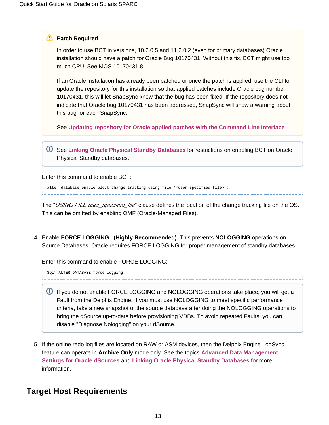#### **Patch Required**

In order to use BCT in versions, 10.2.0.5 and 11.2.0.2 (even for primary databases) Oracle installation should have a patch for Oracle Bug 10170431. Without this fix, BCT might use too much CPU. See MOS 10170431.8

If an Oracle installation has already been patched or once the patch is applied, use the CLI to update the repository for this installation so that applied patches include Oracle bug number 10170431, this will let SnapSync know that the bug has been fixed. If the repository does not indicate that Oracle bug 10170431 has been addressed, SnapSync will show a warning about this bug for each SnapSync.

See **[Updating repository for Oracle applied patches with the Command Line Interface](https://docs.delphix.com/display/DOCS537/Linking+Oracle+Physical+Standby+Databases#LinkingOraclePhysicalStandbyDatabases-AppliedPatches)**

See **[Linking Oracle Physical Standby Databases](https://docs.delphix.com/display/DOCS537/Linking+Oracle+Physical+Standby+Databases)** for restrictions on enabling BCT on Oracle Physical Standby databases.

Enter this command to enable BCT:

alter database enable block change tracking using file '<user specified file>';

The "*USING FILE user specified file*" clause defines the location of the change tracking file on the OS. This can be omitted by enabling OMF (Oracle-Managed Files).

4. Enable **FORCE LOGGING**. **(Highly Recommended)**. This prevents **NOLOGGING** operations on Source Databases. Oracle requires FORCE LOGGING for proper management of standby databases.

Enter this command to enable FORCE LOGGING:

SQL> ALTER DATABASE force logging;

- **If you do not enable FORCE LOGGING and NOLOGGING operations take place, you will get a** Fault from the Delphix Engine. If you must use NOLOGGING to meet specific performance criteria, take a new snapshot of the source database after doing the NOLOGGING operations to bring the dSource up-to-date before provisioning VDBs. To avoid repeated Faults, you can disable "Diagnose Nologging" on your dSource.
- 5. If the online redo log files are located on RAW or ASM devices, then the Delphix Engine LogSync feature can operate in **Archive Only** mode only. See the topics **[Advanced Data Management](https://docs.delphix.com/display/DOCS537/Advanced+Data+Management+Settings+for+Oracle+dSources)  [Settings for Oracle dSources](https://docs.delphix.com/display/DOCS537/Advanced+Data+Management+Settings+for+Oracle+dSources)** and **[Linking Oracle Physical Standby Databases](https://docs.delphix.com/display/DOCS537/Linking+Oracle+Physical+Standby+Databases)** for more information.

### **Target Host Requirements**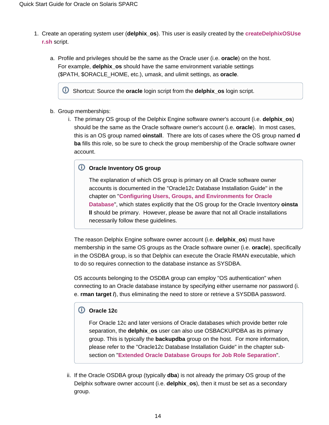- 1. Create an operating system user (**delphix\_os**). This user is easily created by the **[createDelphixOSUse](https://docs.delphix.com/download/attachments/120930377/createDelphixOSUser.sh?version=1&modificationDate=1548354966461&api=v2) [r.sh](https://docs.delphix.com/download/attachments/120930377/createDelphixOSUser.sh?version=1&modificationDate=1548354966461&api=v2)** script.
	- a. Profile and privileges should be the same as the Oracle user (i.e. **oracle**) on the host. For example, **delphix\_os** should have the same environment variable settings (\$PATH, \$ORACLE\_HOME, etc.), umask, and ulimit settings, as **oracle**.

Shortcut: Source the **oracle** login script from the **delphix\_os** login script.

- b. Group memberships:
	- i. The primary OS group of the Delphix Engine software owner's account (i.e. **delphix\_os**) should be the same as the Oracle software owner's account (i.e. **oracle**). In most cases, this is an OS group named **oinstall**. There are lots of cases where the OS group named **d ba** fills this role, so be sure to check the group membership of the Oracle software owner account.

#### **Oracle Inventory OS group**

The explanation of which OS group is primary on all Oracle software owner accounts is documented in the "Oracle12c Database Installation Guide" in the chapter on "**[Configuring Users, Groups, and Environments for Oracle](http://docs.oracle.com/database/121/LADBI/usr_grps.htm#LADBI7652)  [Database](http://docs.oracle.com/database/121/LADBI/usr_grps.htm#LADBI7652)**", which states explicitly that the OS group for the Oracle Inventory **oinsta ll** should be primary. However, please be aware that not all Oracle installations necessarily follow these guidelines.

The reason Delphix Engine software owner account (i.e. **delphix\_os**) must have membership in the same OS groups as the Oracle software owner (i.e. **oracle**), specifically in the OSDBA group, is so that Delphix can execute the Oracle RMAN executable, which to do so requires connection to the database instance as SYSDBA.

OS accounts belonging to the OSDBA group can employ "OS authentication" when connecting to an Oracle database instance by specifying either username nor password (i. e. **rman target /**), thus eliminating the need to store or retrieve a SYSDBA password.

#### **Oracle 12c**

For Oracle 12c and later versions of Oracle databases which provide better role separation, the **delphix\_os** user can also use OSBACKUPDBA as its primary group. This is typically the **backupdba** group on the host. For more information, please refer to the "Oracle12c Database Installation Guide" in the chapter subsection on "**[Extended Oracle Database Groups for Job Role Separation](http://docs.oracle.com/database/121/LADBI/usr_grps.htm#BABHDBFJ)**".

ii. If the Oracle OSDBA group (typically **dba**) is not already the primary OS group of the Delphix software owner account (i.e. **delphix\_os**), then it must be set as a secondary group.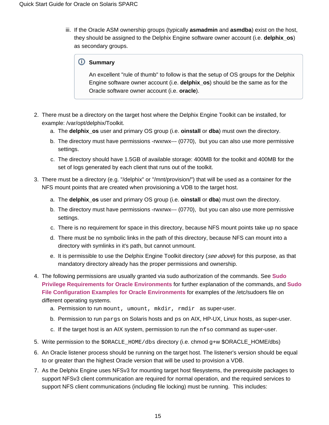iii. If the Oracle ASM ownership groups (typically **asmadmin** and **asmdba**) exist on the host, they should be assigned to the Delphix Engine software owner account (i.e. **delphix\_os**) as secondary groups.

#### **Summary**

An excellent "rule of thumb" to follow is that the setup of OS groups for the Delphix Engine software owner account (i.e. **delphix\_os**) should be the same as for the Oracle software owner account (i.e. **oracle**).

- 2. There must be a directory on the target host where the Delphix Engine Toolkit can be installed, for example: /var/opt/delphix/Toolkit.
	- a. The **delphix\_os** user and primary OS group (i.e. **oinstall** or **dba**) must own the directory.
	- b. The directory must have permissions -rwxrwx--- (0770), but you can also use more permissive settings.
	- c. The directory should have 1.5GB of available storage: 400MB for the toolkit and 400MB for the set of logs generated by each client that runs out of the toolkit.
- 3. There must be a directory (e.g. "/delphix" or "/mnt/provision/") that will be used as a container for the NFS mount points that are created when provisioning a VDB to the target host.
	- a. The **delphix\_os** user and primary OS group (i.e. **oinstall** or **dba**) must own the directory.
	- b. The directory must have permissions -rwxrwx--- (0770), but you can also use more permissive settings.
	- c. There is no requirement for space in this directory, because NFS mount points take up no space
	- d. There must be no symbolic links in the path of this directory, because NFS can mount into a directory with symlinks in it's path, but cannot unmount.
	- e. It is permissible to use the Delphix Engine Toolkit directory (*see above*) for this purpose, as that mandatory directory already has the proper permissions and ownership.
- 4. The following permissions are usually granted via sudo authorization of the commands. See **[Sudo](https://docs.delphix.com/display/DOCS537/Sudo+Privilege+Requirements+for+Oracle+Environments)  [Privilege Requirements for Oracle Environments](https://docs.delphix.com/display/DOCS537/Sudo+Privilege+Requirements+for+Oracle+Environments)** for further explanation of the commands, and **[Sudo](https://docs.delphix.com/display/DOCS537/Sudo+File+Configuration+Examples+for+Oracle+Environments) [File Configuration Examples for Oracle Environments](https://docs.delphix.com/display/DOCS537/Sudo+File+Configuration+Examples+for+Oracle+Environments)** for examples of the /etc/sudoers file on different operating systems.
	- a. Permission to run mount, umount, mkdir, rmdir as super-user.
	- b. Permission to run pargs on Solaris hosts and ps on AIX, HP-UX, Linux hosts, as super-user.
	- c. If the target host is an AIX system, permission to run the nfso command as super-user.
- 5. Write permission to the \$ORACLE\_HOME/dbs directory (i.e. chmod g+w \$ORACLE\_HOME/dbs)
- 6. An Oracle listener process should be running on the target host. The listener's version should be equal to or greater than the highest Oracle version that will be used to provision a VDB.
- 7. As the Delphix Engine uses NFSv3 for mounting target host filesystems, the prerequisite packages to support NFSv3 client communication are required for normal operation, and the required services to support NFS client communications (including file locking) must be running. This includes: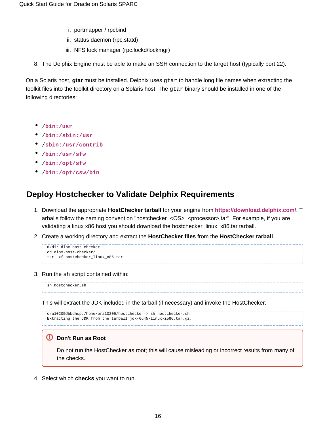- i. portmapper / rpcbind
- ii. status daemon (rpc.statd)
- iii. NFS lock manager (rpc.lockd/lockmgr)
- 8. The Delphix Engine must be able to make an SSH connection to the target host (typically port 22).

On a Solaris host, **gtar** must be installed. Delphix uses gtar to handle long file names when extracting the toolkit files into the toolkit directory on a Solaris host. The qtar binary should be installed in one of the following directories:

- /**[bin:/usr](http://bin/usr)**
- /**[bin:/sbin:/usr](http://bin/sbin:/usr)**
- /**[sbin:/usr/contrib](http://sbin/usr/contrib)**
- /**[bin:/usr/sfw](http://bin/usr/sfw)**
- /**[bin:/opt/sfw](http://bin/opt/sfw)**
- /**[bin:/opt/csw/bin](http://bin/opt/csw/bin)**

### **Deploy Hostchecker to Validate Delphix Requirements**

- 1. Download the appropriate **HostChecker tarball** for your engine from **<https://download.delphix.com/>**. T arballs follow the naming convention "hostchecker\_<OS>\_<processor>.tar". For example, if you are validating a linux x86 host you should download the hostchecker\_linux\_x86.tar tarball.
- 2. Create a working directory and extract the **HostChecker files** from the **HostChecker tarball**.

```
mkdir dlpx-host-checker
cd dlpx-host-checker/
tar -xf hostchecker_linux_x86.tar
```
3. Run the sh script contained within:

sh hostchecker.sh

This will extract the JDK included in the tarball (if necessary) and invoke the HostChecker.

```
ora10205@bbdhcp:/home/ora10205/hostchecker-> sh hostchecker.sh
Extracting the JDK from the tarball jdk-6u45-linux-i586.tar.gz.
```
#### **Don't Run as Root**

∽

Do not run the HostChecker as root; this will cause misleading or incorrect results from many of the checks.

4. Select which **checks** you want to run.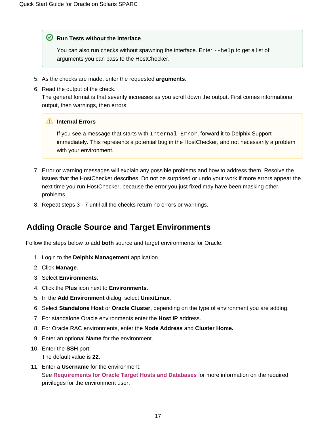#### **⊘** Run Tests without the Interface

You can also run checks without spawning the interface. Enter  $-\text{help}$  to get a list of arguments you can pass to the HostChecker.

- 5. As the checks are made, enter the requested **arguments**.
- 6. Read the output of the check.

The general format is that severity increases as you scroll down the output. First comes informational output, then warnings, then errors.

#### **Internal Errors**

If you see a message that starts with Internal Error, forward it to Delphix Support immediately. This represents a potential bug in the HostChecker, and not necessarily a problem with your environment.

- 7. Error or warning messages will explain any possible problems and how to address them. Resolve the issues that the HostChecker describes. Do not be surprised or undo your work if more errors appear the next time you run HostChecker, because the error you just fixed may have been masking other problems.
- 8. Repeat steps 3 7 until all the checks return no errors or warnings.

### **Adding Oracle Source and Target Environments**

Follow the steps below to add **both** source and target environments for Oracle.

- 1. Login to the **Delphix Management** application.
- 2. Click **Manage**.
- 3. Select **Environments**.
- 4. Click the **Plus** icon next to **Environments**.
- 5. In the **Add Environment** dialog, select **Unix/Linux**.
- 6. Select **Standalone Host** or **Oracle Cluster**, depending on the type of environment you are adding.
- 7. For standalone Oracle environments enter the **Host IP** address.
- 8. For Oracle RAC environments, enter the **Node Address** and **Cluster Home.**
- 9. Enter an optional **Name** for the environment.
- 10. Enter the **SSH** port. The default value is **22**.
- 11. Enter a **Username** for the environment. See **[Requirements for Oracle Target Hosts and Databases](https://docs.delphix.com/display/DOCS537/Requirements+for+Oracle+Target+Hosts+and+Databases)** for more information on the required privileges for the environment user.

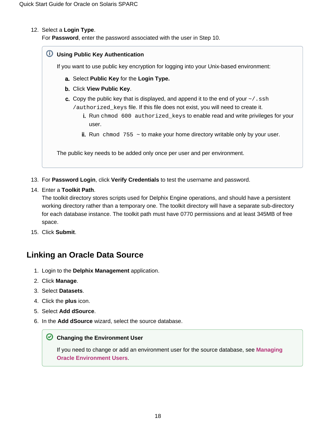#### 12. Select a **Login Type**.

For **Password**, enter the password associated with the user in Step 10.

#### **Using Public Key Authentication**

If you want to use public key encryption for logging into your Unix-based environment:

- a. Select **Public Key** for the **Login Type.**
- b. Click **View Public Key**.
- c. Copy the public key that is displayed, and append it to the end of your  $\sim$  / . ssh /authorized\_keys file. If this file does not exist, you will need to create it.
	- i. Run chmod 600 authorized\_keys to enable read and write privileges for your user.
	- ii. Run chmod 755 ~ to make your home directory writable only by your user.

The public key needs to be added only once per user and per environment.

- 13. For **Password Login**, click **Verify Credentials** to test the username and password.
- 14. Enter a **Toolkit Path**.

The toolkit directory stores scripts used for Delphix Engine operations, and should have a persistent working directory rather than a temporary one. The toolkit directory will have a separate sub-directory for each database instance. The toolkit path must have 0770 permissions and at least 345MB of free space.

15. Click **Submit**.

### **Linking an Oracle Data Source**

- 1. Login to the **Delphix Management** application.
- 2. Click **Manage**.
- 3. Select **Datasets**.
- 4. Click the **plus** icon.
- 5. Select **Add dSource**.
- 6. In the **Add dSource** wizard, select the source database.

#### **C** Changing the Environment User

If you need to change or add an environment user for the source database, see **[Managing](https://docs.delphix.com/display/DOCS537/Managing+Oracle+Environment+Users)  [Oracle Environment Users](https://docs.delphix.com/display/DOCS537/Managing+Oracle+Environment+Users)**.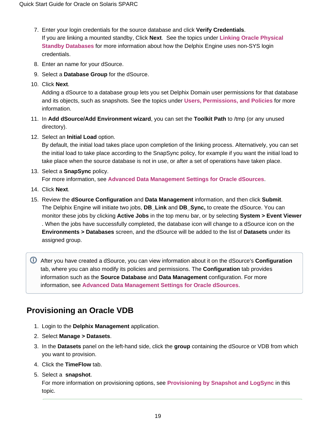- 7. Enter your login credentials for the source database and click **Verify Credentials**. If you are linking a mounted standby, Click **Next**. See the topics under **[Linking Oracle Physical](https://docs.delphix.com/display/DOCS537/Linking+Oracle+Physical+Standby+Databases)  [Standby Databases](https://docs.delphix.com/display/DOCS537/Linking+Oracle+Physical+Standby+Databases)** for more information about how the Delphix Engine uses non-SYS login credentials.
- 8. Enter an name for your dSource.
- 9. Select a **Database Group** for the dSource.
- 10. Click **Next**.

Adding a dSource to a database group lets you set Delphix Domain user permissions for that database and its objects, such as snapshots. See the topics under **[Users, Permissions, and Policies](https://docs.delphix.com/display/DOCS537/Users%2C+Permissions%2C+and+Policies)** for more information.

- 11. In **Add dSource/Add Environment wizard**, you can set the **Toolkit Path** to /tmp (or any unused directory).
- 12. Select an **Initial Load** option.

By default, the initial load takes place upon completion of the linking process. Alternatively, you can set the initial load to take place according to the SnapSync policy, for example if you want the initial load to take place when the source database is not in use, or after a set of operations have taken place.

13. Select a **SnapSync** policy.

For more information, see **[Advanced Data Management Settings for Oracle dSources](https://docs.delphix.com/display/DOCS537/Advanced+Data+Management+Settings+for+Oracle+dSources)**.

- 14. Click **Next**.
- 15. Review the **dSource Configuration** and **Data Management** information, and then click **Submit**. The Delphix Engine will initiate two jobs, **DB\_Link** and **DB\_Sync,** to create the dSource. You can monitor these jobs by clicking **Active Jobs** in the top menu bar, or by selecting **System > Event Viewer** . When the jobs have successfully completed, the database icon will change to a dSource icon on the **Environments > Databases** screen, and the dSource will be added to the list of **Datasets** under its assigned group.

After you have created a dSource, you can view information about it on the dSource's **Configuration** tab, where you can also modify its policies and permissions. The **Configuration** tab provides information such as the **Source Database** and **Data Management** configuration. For more information, see **[Advanced Data Management Settings for Oracle dSources](https://docs.delphix.com/display/DOCS537/Advanced+Data+Management+Settings+for+Oracle+dSources)**.

### **Provisioning an Oracle VDB**

- 1. Login to the **Delphix Management** application.
- 2. Select **Manage > Datasets**.
- 3. In the **Datasets** panel on the left-hand side, click the **group** containing the dSource or VDB from which you want to provision.
- 4. Click the **TimeFlow** tab.
- 5. Select a **snapshot**.

For more information on provisioning options, see **Provisioning by Snapshot and LogSync** in this topic.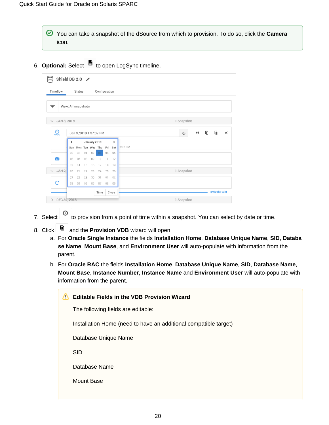- You can take a snapshot of the dSource from which to provision. To do so, click the **Camera** icon.
- 6. **Optional:** Select to open LogSync timeline.

|                             |    | Status              |    |              | Configuration                 |    |           |                                                                |
|-----------------------------|----|---------------------|----|--------------|-------------------------------|----|-----------|----------------------------------------------------------------|
|                             |    | View: All snapshots |    |              |                               |    |           |                                                                |
| JAN 3, 2019<br>$\checkmark$ |    |                     |    |              |                               |    |           | 1 Snapshot                                                     |
| இ                           |    |                     |    |              | Jan 3, 2019 1:37:07 PM        |    |           | $\Box$<br>O.<br>$\blacktriangleleft$<br>$\times$<br>$_{\odot}$ |
|                             | ≺  |                     |    | January 2019 |                               |    | >         |                                                                |
|                             | 30 | 31                  | 01 | 02           | Sun Mon Tue Wed Thu Fri<br>03 | 04 | Sat<br>05 | 37:07 PM                                                       |
| $\bullet$                   | 06 | 07                  | 08 | 09           | 10                            | 11 | 12        |                                                                |
|                             | 13 | 14                  | 15 | 16           | 17                            | 18 | 19        |                                                                |
| JAN 2,<br>$\checkmark$      | 20 | 21                  | 22 | 23           | 24                            | 25 | 26        | 1 Snapshot                                                     |
|                             | 27 | 28                  | 29 | 30           | 31                            | 01 | 02        |                                                                |
| $\mathbf{C}$                | 03 | 04                  | 05 | 06           | 07                            | 08 | 09        |                                                                |
|                             |    |                     |    |              |                               |    | Close     | <b>Refresh Point</b>                                           |

- 7. Select  $\Theta$  to provision from a point of time within a snapshot. You can select by date or time.
- 8. Click **D** and the **Provision VDB** wizard will open:
	- a. For **Oracle Single Instance** the fields **Installation Home**, **Database Unique Name**, **SID**, **Databa se Name**, **Mount Base**, and **Environment User** will auto-populate with information from the parent.
	- b. For **Oracle RAC** the fields **Installation Home**, **Database Unique Name**, **SID**, **Database Name**, **Mount Base**, **Instance Number, Instance Name** and **Environment User** will auto-populate with information from the parent.

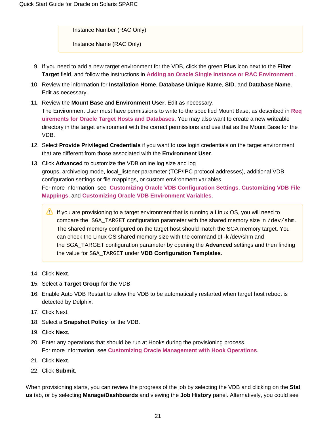Instance Number (RAC Only)

Instance Name (RAC Only)

- 9. If you need to add a new target environment for the VDB, click the green **Plus** icon next to the **Filter Target** field, and follow the instructions in **[Adding an Oracle Single Instance or RAC Environment](https://docs.delphix.com/display/DOCS537/Adding+an+Oracle+Single+Instance+or+RAC+Environment)** .
- 10. Review the information for **Installation Home**, **Database Unique Name**, **SID**, and **Database Name**. Edit as necessary.
- 11. Review the **Mount Base** and **Environment User**. Edit as necessary. The Environment User must have permissions to write to the specified Mount Base, as described in **[Req](https://docs.delphix.com/display/DOCS537/Requirements+for+Oracle+Target+Hosts+and+Databases) [uirements for Oracle Target Hosts and Databases](https://docs.delphix.com/display/DOCS537/Requirements+for+Oracle+Target+Hosts+and+Databases)**. You may also want to create a new writeable directory in the target environment with the correct permissions and use that as the Mount Base for the VDB.
- 12. Select **Provide Privileged Credentials** if you want to use login credentials on the target environment that are different from those associated with the **Environment User**.
- 13. Click **Advanced** to customize the VDB online log size and log groups, archivelog mode, local\_listener parameter (TCP/IPC protocol addresses), additional VDB configuration settings or file mappings, or custom environment variables. For more information, see **[Customizing Oracle VDB Configuration Settings](https://docs.delphix.com/display/DOCS537/Customizing+Oracle+VDB+Configuration+Settings)**, **[Customizing VDB File](https://docs.delphix.com/display/DOCS537/Customizing+VDB+File+Mappings)  [Mappings](https://docs.delphix.com/display/DOCS537/Customizing+VDB+File+Mappings)**, and **[Customizing Oracle VDB Environment Variables](https://docs.delphix.com/display/DOCS537/Customizing+Oracle+VDB+Environment+Variables)**.
	- If you are provisioning to a target environment that is running a Linux OS, you will need to compare the SGA\_TARGET configuration parameter with the shared memory size in /dev/shm. The shared memory configured on the target host should match the SGA memory target. You can check the Linux OS shared memory size with the command df -k /dev/shm and the SGA\_TARGET configuration parameter by opening the **Advanced** settings and then finding the value for SGA\_TARGET under **VDB Configuration Templates**.
- 14. Click **Next**.
- 15. Select a **Target Group** for the VDB.
- 16. Enable Auto VDB Restart to allow the VDB to be automatically restarted when target host reboot is detected by Delphix.
- 17. Click Next.
- 18. Select a **Snapshot Policy** for the VDB.
- 19. Click **Next**.
- 20. Enter any operations that should be run at Hooks during the provisioning process. For more information, see **[Customizing Oracle Management with Hook Operations](https://docs.delphix.com/display/DOCS537/Customizing+Oracle+Management+with+Hook+Operations)**.
- 21. Click **Next**.
- 22. Click **Submit**.

When provisioning starts, you can review the progress of the job by selecting the VDB and clicking on the **Stat us** tab, or by selecting **Manage/Dashboards** and viewing the **Job History** panel. Alternatively, you could see